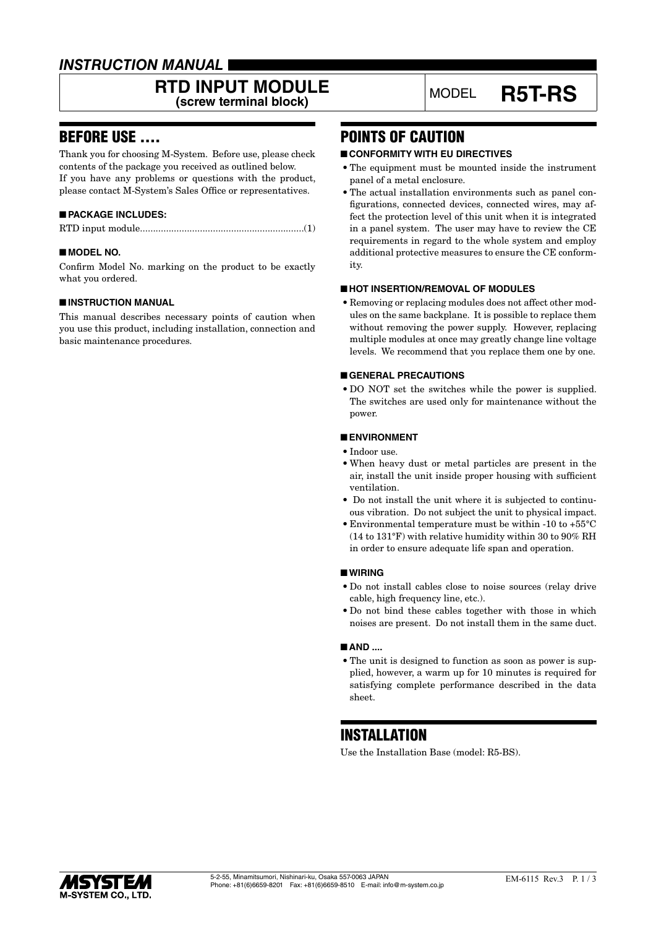## *INSTRUCTION MANUAL*

# **RTD INPUT MODULE**<br>
(screw terminal block) MODEL **R5T-RS**

## BEFORE USE ....

Thank you for choosing M-System. Before use, please check contents of the package you received as outlined below. If you have any problems or questions with the product, please contact M-System's Sales Office or representatives.

## ■ **PACKAGE INCLUDES:**

|--|--|--|

## ■ **MODEL NO.**

Confirm Model No. marking on the product to be exactly what you ordered.

## ■ **INSTRUCTION MANUAL**

This manual describes necessary points of caution when you use this product, including installation, connection and basic maintenance procedures.

## POINTS OF CAUTION

## ■ **CONFORMITY WITH EU DIRECTIVES**

- The equipment must be mounted inside the instrument panel of a metal enclosure.
- The actual installation environments such as panel configurations, connected devices, connected wires, may affect the protection level of this unit when it is integrated in a panel system. The user may have to review the CE requirements in regard to the whole system and employ additional protective measures to ensure the CE conformity.

## ■ **HOT INSERTION/REMOVAL OF MODULES**

• Removing or replacing modules does not affect other modules on the same backplane. It is possible to replace them without removing the power supply. However, replacing multiple modules at once may greatly change line voltage levels. We recommend that you replace them one by one.

## ■ **GENERAL PRECAUTIONS**

• DO NOT set the switches while the power is supplied. The switches are used only for maintenance without the power.

#### ■ **ENVIRONMENT**

- Indoor use.
- When heavy dust or metal particles are present in the air, install the unit inside proper housing with sufficient ventilation.
- Do not install the unit where it is subjected to continuous vibration. Do not subject the unit to physical impact.
- Environmental temperature must be within -10 to +55°C (14 to 131°F) with relative humidity within 30 to 90% RH in order to ensure adequate life span and operation.

## ■ **WIRING**

- Do not install cables close to noise sources (relay drive cable, high frequency line, etc.).
- Do not bind these cables together with those in which noises are present. Do not install them in the same duct.

#### ■ **AND** ....

• The unit is designed to function as soon as power is supplied, however, a warm up for 10 minutes is required for satisfying complete performance described in the data sheet.

## INSTALLATION

Use the Installation Base (model: R5-BS).

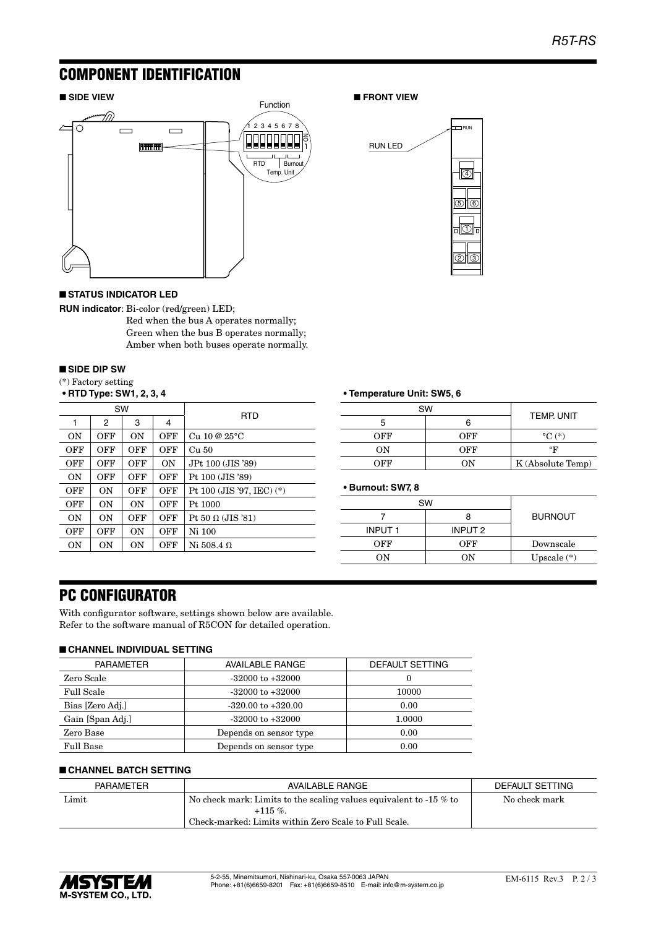## COMPONENT IDENTIFICATION



## ■ **STATUS INDICATOR LED**

**RUN indicator**: Bi-color (red/green) LED;

Red when the bus A operates normally; Green when the bus B operates normally; Amber when both buses operate normally.

#### ■ **SIDE DIP SW**

| (*) Factory setting |  |  |
|---------------------|--|--|
|                     |  |  |

| • RTD Type: SW1, 2, 3, 4 |     |     |     |                             |  |
|--------------------------|-----|-----|-----|-----------------------------|--|
| SW                       |     |     |     |                             |  |
| 1                        | 2   | 3   | 4   | <b>RTD</b>                  |  |
| 0N                       | OFF | 0N  | OFF | $Cu$ 10 @ $25^{\circ}$ C    |  |
| OFF                      | OFF | OFF | OFF | Cu 50                       |  |
| OFF                      | OFF | OFF | 0N  | JPt 100 (JIS '89)           |  |
| ON                       | OFF | OFF | OFF | Pt 100 (JIS '89)            |  |
| OFF                      | 0N  | OFF | OFF | Pt 100 (JIS '97, IEC) $(*)$ |  |
| OFF                      | ON  | ON  | OFF | Pt. 1000                    |  |
| ON                       | ON  | OFF | OFF | Pt 50 $\Omega$ (JIS '81)    |  |
| OFF                      | OFF | 0N  | OFF | Ni 100                      |  |
| 0N                       | 0N  | 0N  | OFF | Ni 508.4 Ω                  |  |

#### ■ **SIDE VIEW** ■ **FRONT VIEW**



## **• Temperature Unit: SW5, 6**

|     | <b>SW</b> |                     |  |
|-----|-----------|---------------------|--|
|     |           | <b>TEMP, UNIT</b>   |  |
| OFF | OFF       | $\rm ^{\circ}C$ (*) |  |
| ON  | OFF       | °F                  |  |
| OFF | OΝ        | K (Absolute Temp)   |  |

**• Burnout: SW7, 8**

| SW            |         |                |
|---------------|---------|----------------|
|               |         | <b>BURNOUT</b> |
| <b>INPUT1</b> | INPUT 2 |                |
| OFF           | OFF     | Downscale      |
| OΝ            | 'N      | Upscale $(*)$  |

## PC CONFIGURATOR

With configurator software, settings shown below are available. Refer to the software manual of R5CON for detailed operation.

## ■ **CHANNEL INDIVIDUAL SETTING**

| <b>PARAMETER</b>  | <b>AVAILABLE RANGE</b> | DEFAULT SETTING |
|-------------------|------------------------|-----------------|
| Zero Scale        | $-32000$ to $+32000$   | $\Omega$        |
| <b>Full Scale</b> | $-32000$ to $+32000$   | 10000           |
| Bias [Zero Adj.]  | $-320.00$ to $+320.00$ | 0.00            |
| Gain [Span Adj.]  | $-32000$ to $+32000$   | 1.0000          |
| Zero Base         | Depends on sensor type | 0.00            |
| Full Base         | Depends on sensor type | 0.00            |

## ■ **CHANNEL BATCH SETTING**

| PARAMETER<br>AVAILABLE RANGE |                                                                       | DEFAULT SETTING |
|------------------------------|-----------------------------------------------------------------------|-----------------|
| Limit                        | No check mark: Limits to the scaling values equivalent to -15 $\%$ to | No check mark   |
|                              | $+115\%$                                                              |                 |
|                              | Check-marked: Limits within Zero Scale to Full Scale.                 |                 |